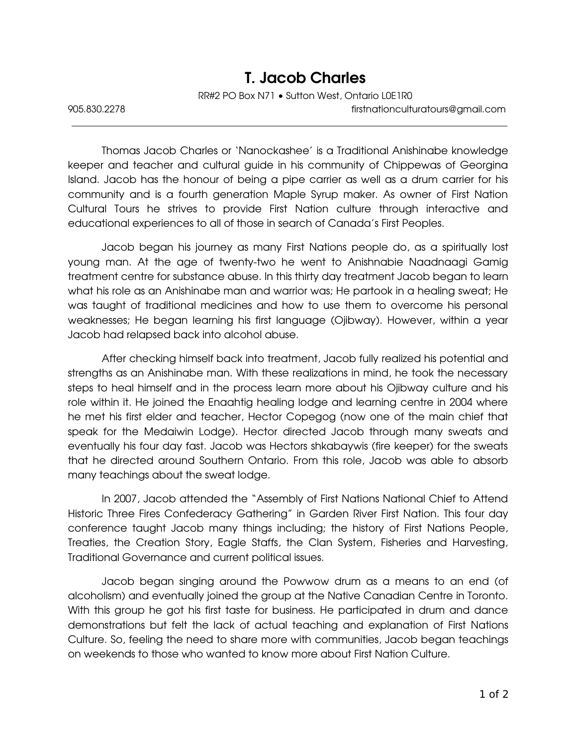## T. Jacob Charles

RR#2 PO Box N71 • Sutton West, Ontario L0E1R0

905.830.2278 firstnationculturatours@gmail.com

Thomas Jacob Charles or 'Nanockashee' is a Traditional Anishinabe knowledge keeper and teacher and cultural guide in his community of Chippewas of Georgina Island. Jacob has the honour of being a pipe carrier as well as a drum carrier for his community and is a fourth generation Maple Syrup maker. As owner of First Nation Cultural Tours he strives to provide First Nation culture through interactive and educational experiences to all of those in search of Canada's First Peoples.

Jacob began his journey as many First Nations people do, as a spiritually lost young man. At the age of twenty-two he went to Anishnabie Naadnaagi Gamig treatment centre for substance abuse. In this thirty day treatment Jacob began to learn what his role as an Anishinabe man and warrior was; He partook in a healing sweat; He was taught of traditional medicines and how to use them to overcome his personal weaknesses; He began learning his first language (Ojibway). However, within a year Jacob had relapsed back into alcohol abuse.

After checking himself back into treatment, Jacob fully realized his potential and strengths as an Anishinabe man. With these realizations in mind, he took the necessary steps to heal himself and in the process learn more about his Ojibway culture and his role within it. He joined the Enaahtig healing lodge and learning centre in 2004 where he met his first elder and teacher, Hector Copegog (now one of the main chief that speak for the Medaiwin Lodge). Hector directed Jacob through many sweats and eventually his four day fast. Jacob was Hectors shkabaywis (fire keeper) for the sweats that he directed around Southern Ontario. From this role, Jacob was able to absorb many teachings about the sweat lodge.

In 2007, Jacob attended the "Assembly of First Nations National Chief to Attend Historic Three Fires Confederacy Gathering" in Garden River First Nation. This four day conference taught Jacob many things including; the history of First Nations People, Treaties, the Creation Story, Eagle Staffs, the Clan System, Fisheries and Harvesting, Traditional Governance and current political issues.

Jacob began singing around the Powwow drum as a means to an end (of alcoholism) and eventually joined the group at the Native Canadian Centre in Toronto. With this group he got his first taste for business. He participated in drum and dance demonstrations but felt the lack of actual teaching and explanation of First Nations Culture. So, feeling the need to share more with communities, Jacob began teachings on weekends to those who wanted to know more about First Nation Culture.